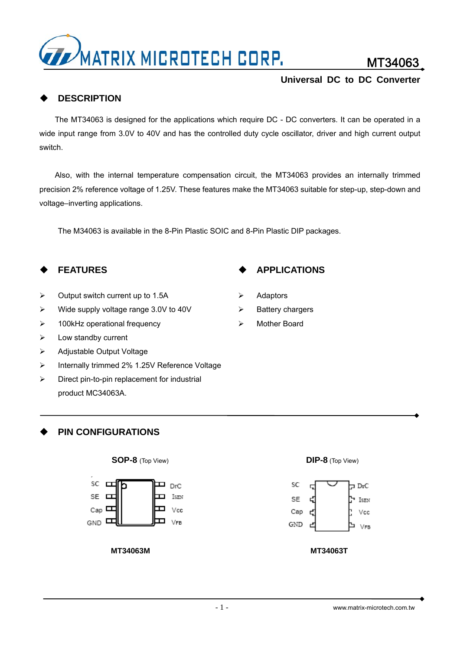

MT34063

# **DESCRIPTION**

The MT34063 is designed for the applications which require DC - DC converters. It can be operated in a wide input range from 3.0V to 40V and has the controlled duty cycle oscillator, driver and high current output switch.

Also, with the internal temperature compensation circuit, the MT34063 provides an internally trimmed precision 2% reference voltage of 1.25V. These features make the MT34063 suitable for step-up, step-down and voltage–inverting applications.

The M34063 is available in the 8-Pin Plastic SOIC and 8-Pin Plastic DIP packages.

# **FEATURES**

- $\triangleright$  Output switch current up to 1.5A
- $\triangleright$  Wide supply voltage range 3.0V to 40V
- $\geq$  100kHz operational frequency
- $\triangleright$  Low standby current
- ¾ Adjustable Output Voltage
- ¾ Internally trimmed 2% 1.25V Reference Voltage
- $\triangleright$  Direct pin-to-pin replacement for industrial product MC34063A.

### **PIN CONFIGURATIONS**



**MT34063M MT34063T**

# **APPLICATIONS**

- ¾ Adaptors
- $\triangleright$  Battery chargers
- ¾ Mother Board





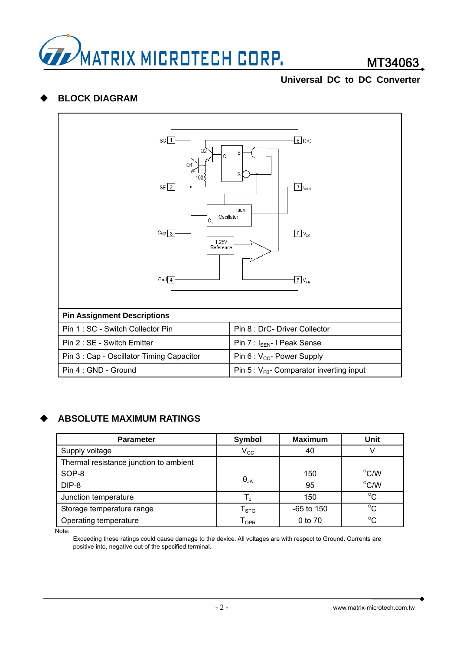

# **BLOCK DIAGRAM**



# **ABSOLUTE MAXIMUM RATINGS**

| <b>Parameter</b>                       | Symbol                    | <b>Maximum</b> | <b>Unit</b>        |
|----------------------------------------|---------------------------|----------------|--------------------|
| Supply voltage                         | $V_{\rm CC}$              | 40             |                    |
| Thermal resistance junction to ambient |                           |                |                    |
| SOP-8                                  |                           | 150            | $\rm ^{\circ}$ C/W |
| DIP-8                                  | $\Theta_{JA}$             | 95             | $^{\circ}$ C/W     |
| Junction temperature                   | T.                        | 150            | $^{\circ}C$        |
| Storage temperature range              | $\mathsf{T}_{\text{STG}}$ | $-65$ to 150   | $^{\circ}C$        |
| Operating temperature                  | l <sub>OPR</sub>          | 0 to 70        | $^{\circ}C$        |

Note:

Exceeding these ratings could cause damage to the device. All voltages are with respect to Ground. Currents are positive into, negative out of the specified terminal.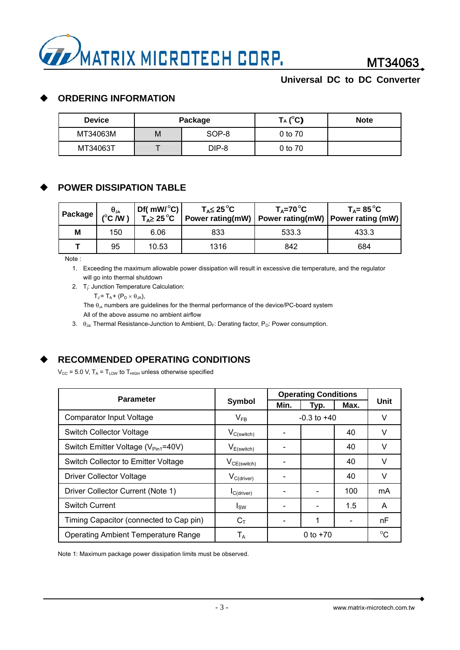

# **ORDERING INFORMATION**

| <b>Device</b> |   | Package | $T_A (^\circ C)$ | <b>Note</b> |
|---------------|---|---------|------------------|-------------|
| MT34063M      | М | SOP-8   | 0 to 70          |             |
| MT34063T      |   | DIP-8   | 0 to 70          |             |

# **POWER DISSIPATION TABLE**

| Package $\Big \stackrel{\theta_{\sf JA}}{\left({}^{\circ}\mathsf{C}\,/\mathsf{W}\,\right)}\Big $ |     | Df( $mW/^{\circ}C$ )<br>$T_A \geq 25^{\circ}C$ | $T_A \leq 25^{\circ}$ C | $T_A = 70^{\circ}C$ | $T_A = 85^{\circ}C$<br>  Power rating(mW)   Power rating(mW)   Power rating (mW) |
|--------------------------------------------------------------------------------------------------|-----|------------------------------------------------|-------------------------|---------------------|----------------------------------------------------------------------------------|
| M                                                                                                | 150 | 6.06                                           | 833                     | 533.3               | 433.3                                                                            |
|                                                                                                  | 95  | 10.53                                          | 1316                    | 842                 | 684                                                                              |

Note :

1. Exceeding the maximum allowable power dissipation will result in excessive die temperature, and the regulator will go into thermal shutdown

2. Tj: Junction Temperature Calculation:

 $T_J = T_A + (P_D \times \theta_{JA}),$ 

The  $\theta_{JA}$  numbers are guidelines for the thermal performance of the device/PC-board system

All of the above assume no ambient airflow

3.  $\theta_{\text{Ja}}$ : Thermal Resistance-Junction to Ambient, D<sub>F</sub>: Derating factor, P<sub>O</sub>: Power consumption.

# **RECOMMENDED OPERATING CONDITIONS**

 $V_{CC}$  = 5.0 V,  $T_A$  =  $T_{LOW}$  to  $T_{HIGH}$  unless otherwise specified

| <b>Parameter</b>                                |                         | <b>Operating Conditions</b> |      |             |      |  |
|-------------------------------------------------|-------------------------|-----------------------------|------|-------------|------|--|
|                                                 | <b>Symbol</b>           | Min.                        | Typ. | Max.        | Unit |  |
| <b>Comparator Input Voltage</b>                 | $V_{FB}$                | $-0.3$ to $+40$             |      | v           |      |  |
| <b>Switch Collector Voltage</b>                 | $V_{C(switch)}$         |                             |      | 40          | v    |  |
| Switch Emitter Voltage (V <sub>Pin1</sub> =40V) | $V_{E(\text{switch})}$  |                             |      | 40          | v    |  |
| Switch Collector to Emitter Voltage             | $V_{CE(switch)}$        |                             |      | 40          | v    |  |
| <b>Driver Collector Voltage</b>                 | $V_{C(driver)}$         |                             |      | 40          | V    |  |
| Driver Collector Current (Note 1)               | $I_{C(driver)}$         |                             |      | 100         | mA   |  |
| <b>Switch Current</b>                           | <b>I</b> <sub>SW</sub>  |                             |      | 1.5         | A    |  |
| Timing Capacitor (connected to Cap pin)         | $C_T$                   |                             | 1    |             | nF   |  |
| <b>Operating Ambient Temperature Range</b>      | $\mathsf{T}_\mathsf{A}$ | 0 to $+70$                  |      | $^{\circ}C$ |      |  |

Note 1: Maximum package power dissipation limits must be observed.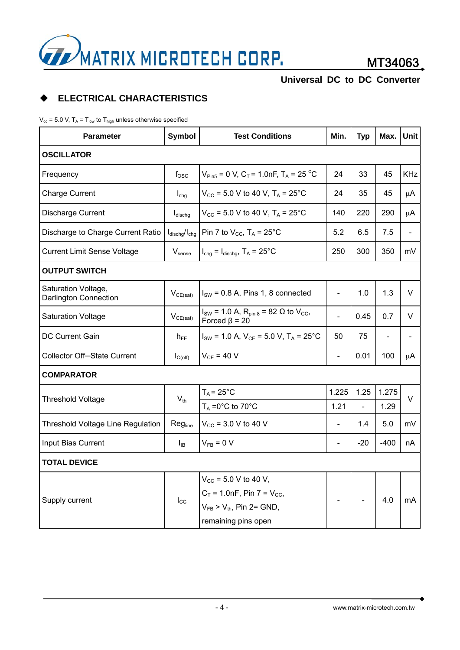

# **ELECTRICAL CHARACTERISTICS**

 $V_{\text{cc}}$  = 5.0 V, T<sub>A</sub> = T<sub>low</sub> to T<sub>high</sub> unless otherwise specified

| <b>Parameter</b>                                    | <b>Symbol</b>                      | <b>Test Conditions</b>                                                                  |                              | <b>Typ</b>     | Max.   | Unit       |
|-----------------------------------------------------|------------------------------------|-----------------------------------------------------------------------------------------|------------------------------|----------------|--------|------------|
| <b>OSCILLATOR</b>                                   |                                    |                                                                                         |                              |                |        |            |
| Frequency                                           | $f_{\rm osc}$                      | $V_{\text{Pin5}}$ = 0 V, C <sub>T</sub> = 1.0nF, T <sub>A</sub> = 25 <sup>o</sup> C     | 24                           | 33             | 45     | <b>KHz</b> |
| <b>Charge Current</b>                               | $I_{chg}$                          | $V_{CC}$ = 5.0 V to 40 V, T <sub>A</sub> = 25°C                                         | 24                           | 35             | 45     | $\mu$ A    |
| Discharge Current                                   | $I_{\text{dischg}}$                | $V_{\text{CC}}$ = 5.0 V to 40 V, T <sub>A</sub> = 25°C                                  |                              | 220            | 290    | μA         |
| Discharge to Charge Current Ratio                   | $I_{\text{dischg}}/I_{\text{chg}}$ | Pin 7 to $V_{CC}$ , T <sub>A</sub> = 25°C                                               | 5.2                          | 6.5            | 7.5    |            |
| <b>Current Limit Sense Voltage</b>                  | $V_{\text{sense}}$                 | $I_{\text{chg}} = I_{\text{dischg}}$ , $T_A = 25^{\circ}C$                              | 250                          | 300            | 350    | mV         |
| <b>OUTPUT SWITCH</b>                                |                                    |                                                                                         |                              |                |        |            |
| Saturation Voltage,<br><b>Darlington Connection</b> | $V_{CE(sat)}$                      | $ISW = 0.8$ A, Pins 1, 8 connected                                                      | $\frac{1}{2}$                | 1.0            | 1.3    | V          |
| <b>Saturation Voltage</b>                           | $V_{CE(sat)}$                      | $I_{SW}$ = 1.0 A, R <sub>pin 8</sub> = 82 Ω to V <sub>CC</sub> ,<br>Forced $\beta$ = 20 | $\overline{a}$               | 0.45           | 0.7    | V          |
| <b>DC Current Gain</b>                              | $h_{FE}$                           | $I_{SW}$ = 1.0 A, $V_{CE}$ = 5.0 V, T <sub>A</sub> = 25°C                               | 50                           | 75             |        |            |
| <b>Collector Off-State Current</b>                  | $I_{C(off)}$                       | $V_{CE}$ = 40 V                                                                         | $\blacksquare$               | 0.01           | 100    | μA         |
| <b>COMPARATOR</b>                                   |                                    |                                                                                         |                              |                |        |            |
|                                                     | $V_{th}$                           | $T_A = 25^{\circ}$ C                                                                    | 1.225                        | 1.25           | 1.275  |            |
| <b>Threshold Voltage</b>                            |                                    | $T_A = 0^\circ C$ to 70 $^\circ C$                                                      | 1.21                         | $\blacksquare$ | 1.29   | V          |
| <b>Threshold Voltage Line Regulation</b>            | Regline                            | $V_{\text{CC}}$ = 3.0 V to 40 V                                                         | $\qquad \qquad \blacksquare$ | 1.4            | 5.0    | mV         |
| Input Bias Current                                  | $I_{IB}$                           | $V_{FB} = 0 V$                                                                          |                              | $-20$          | $-400$ | nA         |
| <b>TOTAL DEVICE</b>                                 |                                    |                                                                                         |                              |                |        |            |
|                                                     | $I_{\rm CC}$                       | $V_{CC}$ = 5.0 V to 40 V,                                                               |                              |                |        |            |
|                                                     |                                    | $C_T$ = 1.0nF, Pin 7 = $V_{CC}$ ,                                                       |                              |                |        | mA         |
| Supply current                                      |                                    | $V_{FB}$ > $V_{th}$ , Pin 2= GND,                                                       |                              |                | 4.0    |            |
|                                                     |                                    | remaining pins open                                                                     |                              |                |        |            |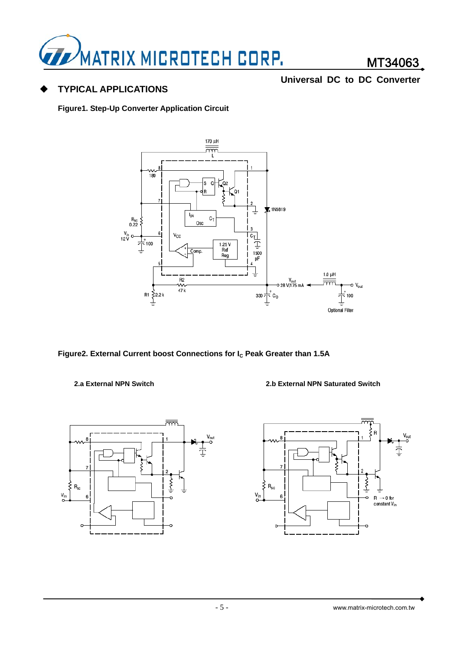

# **TYPICAL APPLICATIONS**

**Universal DC to DC Converter**

**Figure1. Step-Up Converter Application Circuit** 



Figure2. External Current boost Connections for I<sub>c</sub> Peak Greater than 1.5A

**2.a External NPN Switch 2.b External NPN Saturated Switch**



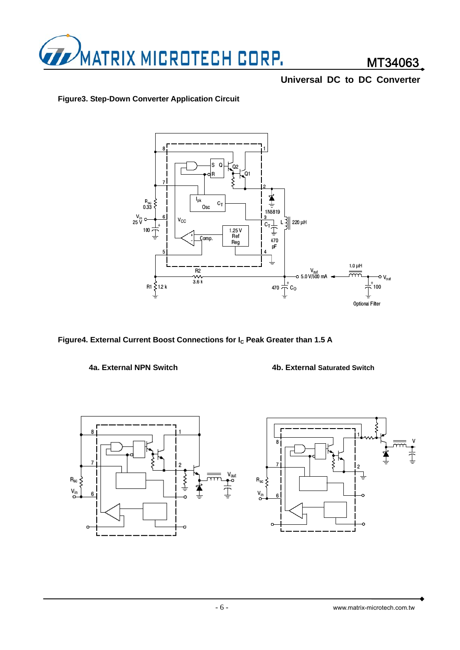

### **Figure3. Step-Down Converter Application Circuit**



Figure4. External Current Boost Connections for I<sub>C</sub> Peak Greater than 1.5 A





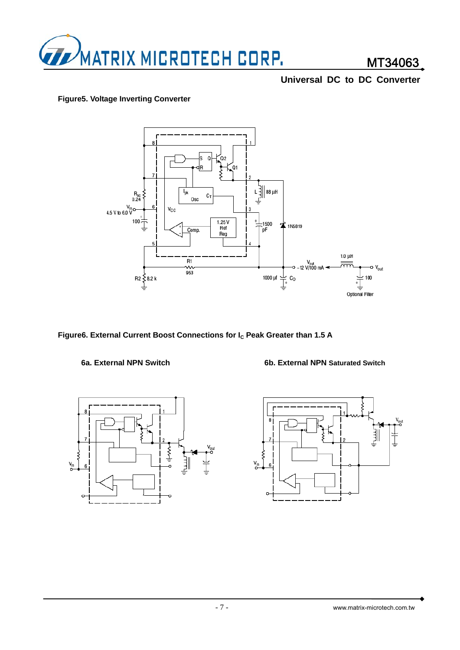

### **Figure5. Voltage Inverting Converter**



Figure6. External Current Boost Connections for I<sub>c</sub> Peak Greater than 1.5 A



### **6a. External NPN Switch 6b. External NPN Saturated Switch**

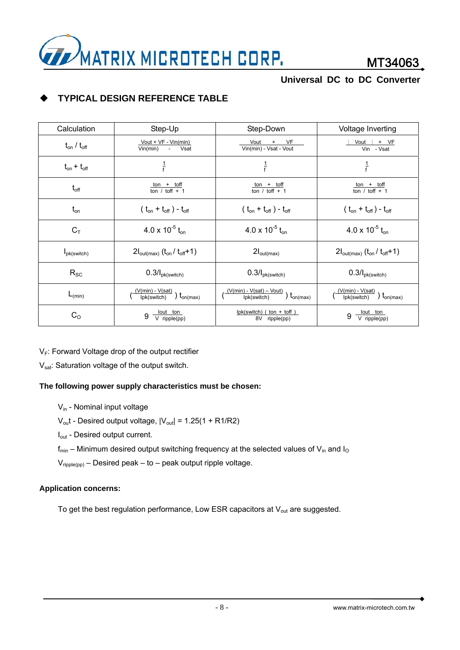

# **TYPICAL DESIGN REFERENCE TABLE**

| Calculation                    | Step-Up                                                         | Step-Down                                                       | Voltage Inverting                                               |
|--------------------------------|-----------------------------------------------------------------|-----------------------------------------------------------------|-----------------------------------------------------------------|
| $t_{on}$ / $t_{off}$           | Vout + VF - Vin(min)<br>Vin(min) - Vsat                         | Vout +<br>VF<br>Vin(min) - Vsat - Vout                          | Vout<br>$+$ VF<br>Vin - Vsat                                    |
| $t_{on} + t_{off}$             | $\frac{1}{f}$                                                   | $\frac{1}{f}$                                                   | $\frac{1}{f}$                                                   |
| $t_{\text{off}}$               | $\frac{\text{ton} + \text{toff}}{\text{ton} / \text{toff} + 1}$ | $\frac{\text{ton} + \text{toff}}{\text{ton} / \text{toff} + 1}$ | $\frac{\text{ton} + \text{toff}}{\text{ton} / \text{toff} + 1}$ |
| $t_{on}$                       | $(t_{on} + t_{off}) - t_{off}$                                  | $(t_{on} + t_{off}) - t_{off}$                                  | $(t_{on} + t_{off}) - t_{off}$                                  |
| $C_T$                          | 4.0 x 10 <sup>-5</sup> t <sub>on</sub>                          | 4.0 x 10 <sup>-5</sup> t <sub>on</sub>                          | 4.0 x 10 <sup>-5</sup> t <sub>on</sub>                          |
| $I_{\text{pk}(\text{switch})}$ | $2I_{\text{out(max)}}(t_{\text{on}}/t_{\text{off}}+1)$          | $2I_{\text{out(max)}}$                                          | $2I_{\text{out(max)}}(t_{\text{on}}/t_{\text{off}}+1)$          |
| $R_{SC}$                       | $0.3$ / $I_{pk(switch)}$                                        | $0.3$ / $I_{pk(switch)}$                                        | $0.3$ / $I_{pk(switch)}$                                        |
| $L_{(min)}$                    | $\frac{(V(min) - V(sat)}{lpk(switch)}$ $t_{on(max)}$            | $\frac{(V(min) - V(sat) - Vout)}{lpk(switch)}$ $t_{on(max)}$    | $\frac{(V(min) - V(sat)}{lpk(switch)}$ $t_{on(max)}$            |
| $C_{\rm O}$                    | $\frac{$ lout ton<br>V ripple(pp)<br>9                          | $lpk(sub)$ (ton + toff)<br>8V ripple(pp)                        | $9 \frac{$ lout ton                                             |

 $V_F$ : Forward Voltage drop of the output rectifier

V<sub>sat</sub>: Saturation voltage of the output switch.

### **The following power supply characteristics must be chosen:**

- Vin Nominal input voltage
- $V_{\text{out}}$  Desired output voltage,  $|V_{\text{out}}|$  = 1.25(1 + R1/R2)
- I<sub>out</sub> Desired output current.
- $f_{min}$  Minimum desired output switching frequency at the selected values of  $V_{in}$  and  $I_{O}$

 $V_{\text{ripole(pp)}}$  – Desired peak – to – peak output ripple voltage.

### **Application concerns:**

To get the best regulation performance, Low ESR capacitors at  $V_{\text{out}}$  are suggested.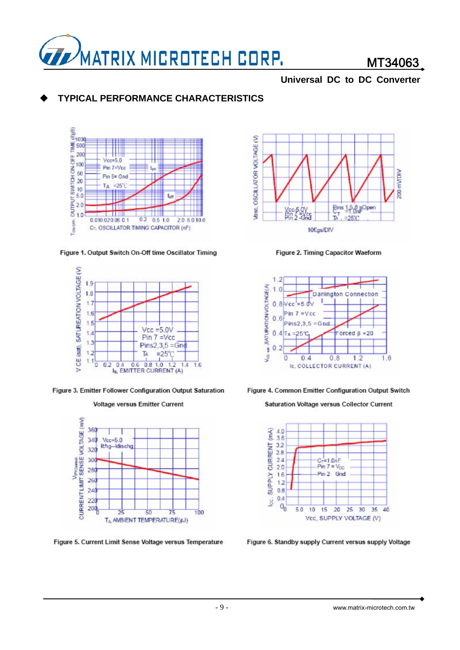

# MT34063

### **Universal DC to DC Converter**

# **TYPICAL PERFORMANCE CHARACTERISTICS**



Figure 1. Output Switch On-Off time Oscillator Timing



Figure 3. Emitter Follower Configuration Output Saturation





Figure 5. Current Limit Sense Voltage versus Temperature



Figure 2. Timing Capacitor Waeform





Saturation Voltage versus Collector Current



Figure 6. Standby supply Current versus supply Voltage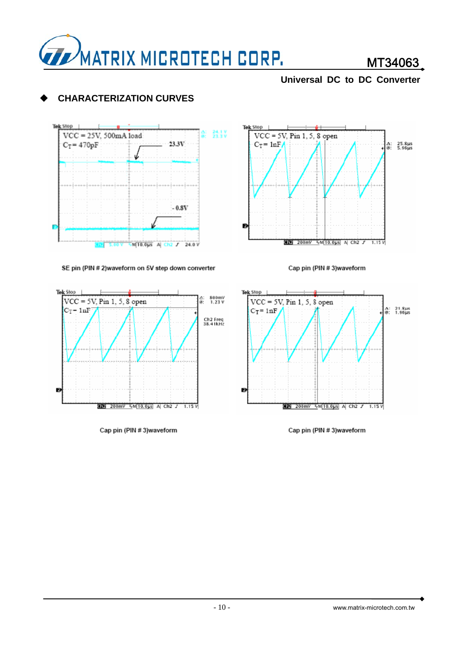

# MT34063

### **Universal DC to DC Converter**

# **CHARACTERIZATION CURVES**



### SE pin (PIN # 2)waveform on 5V step down converter



Cap pin (PIN #3)waveform







Cap pin (PIN #3)waveform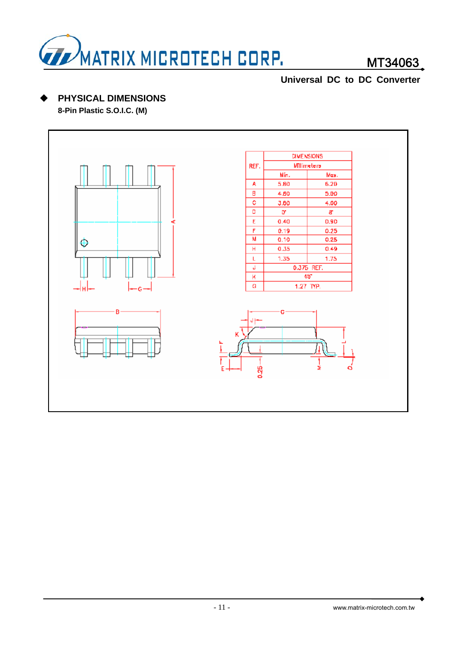

# MT34063

# **Universal DC to DC Converter**

# **PHYSICAL DIMENSIONS**

**8-Pin Plastic S.O.I.C. (M)**